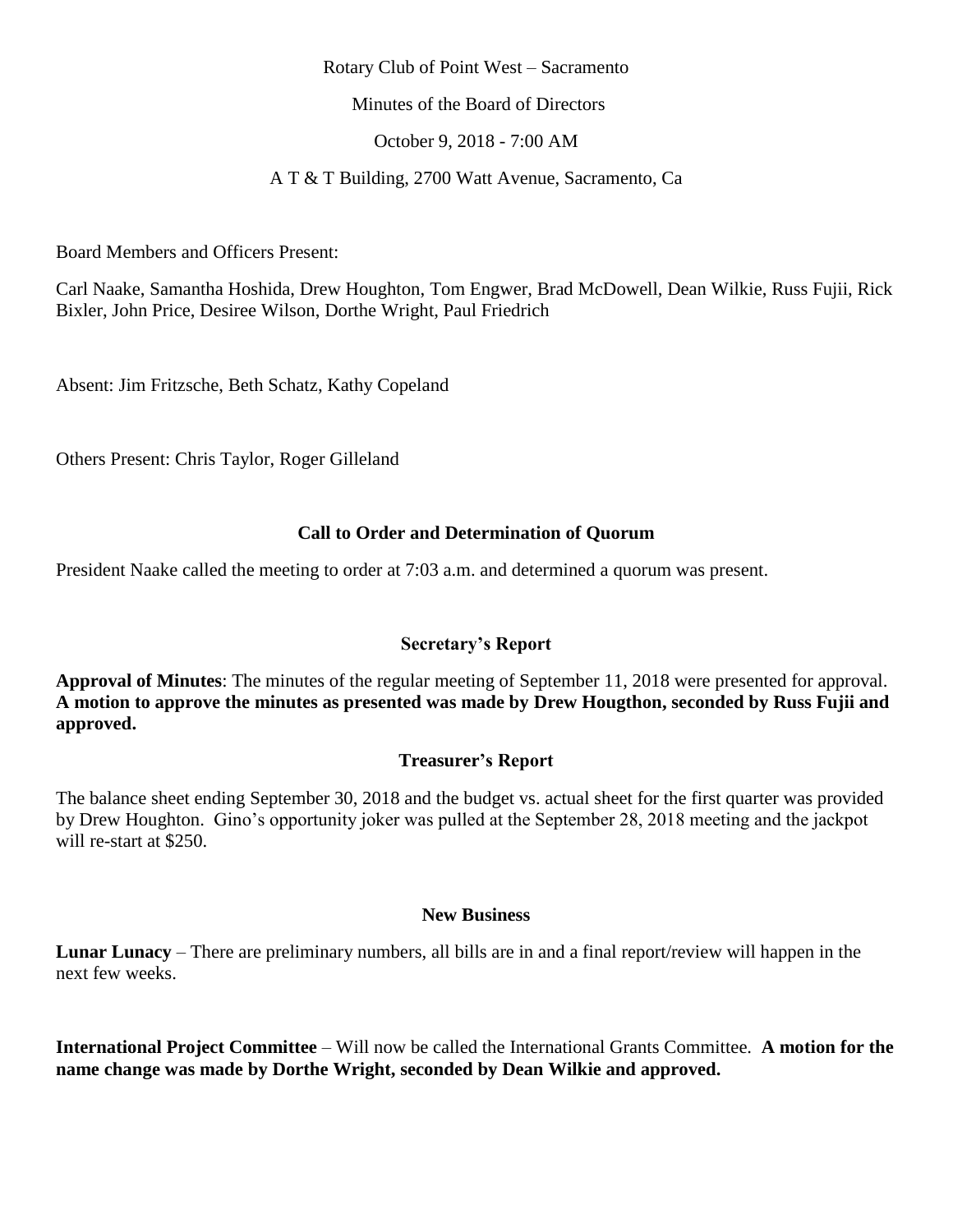#### Rotary Club of Point West – Sacramento

Minutes of the Board of Directors

October 9, 2018 - 7:00 AM

A T & T Building, 2700 Watt Avenue, Sacramento, Ca

Board Members and Officers Present:

Carl Naake, Samantha Hoshida, Drew Houghton, Tom Engwer, Brad McDowell, Dean Wilkie, Russ Fujii, Rick Bixler, John Price, Desiree Wilson, Dorthe Wright, Paul Friedrich

Absent: Jim Fritzsche, Beth Schatz, Kathy Copeland

Others Present: Chris Taylor, Roger Gilleland

# **Call to Order and Determination of Quorum**

President Naake called the meeting to order at 7:03 a.m. and determined a quorum was present.

### **Secretary's Report**

**Approval of Minutes**: The minutes of the regular meeting of September 11, 2018 were presented for approval. **A motion to approve the minutes as presented was made by Drew Hougthon, seconded by Russ Fujii and approved.**

### **Treasurer's Report**

The balance sheet ending September 30, 2018 and the budget vs. actual sheet for the first quarter was provided by Drew Houghton. Gino's opportunity joker was pulled at the September 28, 2018 meeting and the jackpot will re-start at \$250.

### **New Business**

**Lunar Lunacy** – There are preliminary numbers, all bills are in and a final report/review will happen in the next few weeks.

**International Project Committee** – Will now be called the International Grants Committee. **A motion for the name change was made by Dorthe Wright, seconded by Dean Wilkie and approved.**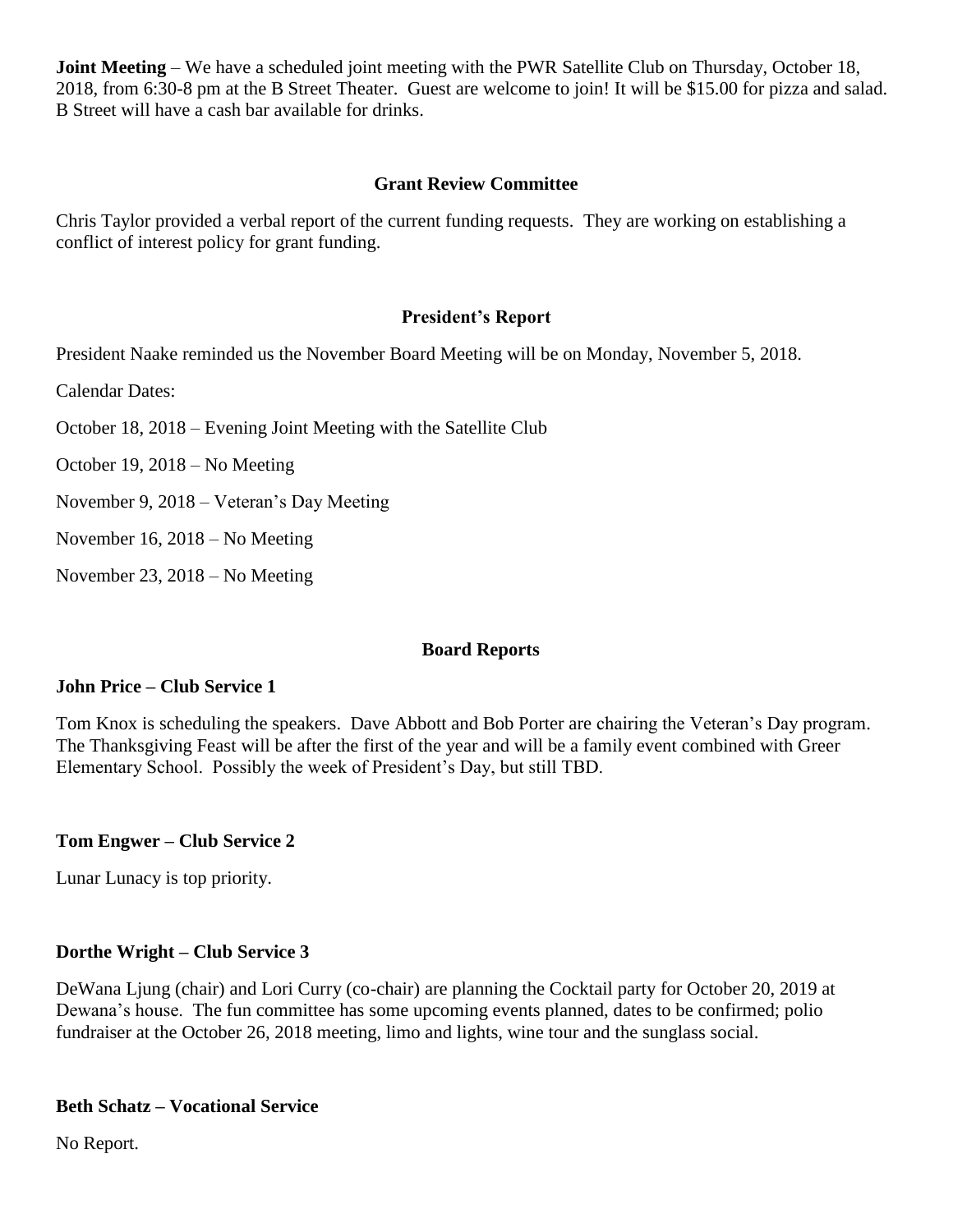**Joint Meeting** – We have a scheduled joint meeting with the PWR Satellite Club on Thursday, October 18, 2018, from 6:30-8 pm at the B Street Theater. Guest are welcome to join! It will be \$15.00 for pizza and salad. B Street will have a cash bar available for drinks.

# **Grant Review Committee**

Chris Taylor provided a verbal report of the current funding requests. They are working on establishing a conflict of interest policy for grant funding.

# **President's Report**

President Naake reminded us the November Board Meeting will be on Monday, November 5, 2018.

Calendar Dates:

October 18, 2018 – Evening Joint Meeting with the Satellite Club

October 19, 2018 – No Meeting

November 9, 2018 – Veteran's Day Meeting

November 16, 2018 – No Meeting

November 23, 2018 – No Meeting

### **Board Reports**

#### **John Price – Club Service 1**

Tom Knox is scheduling the speakers. Dave Abbott and Bob Porter are chairing the Veteran's Day program. The Thanksgiving Feast will be after the first of the year and will be a family event combined with Greer Elementary School. Possibly the week of President's Day, but still TBD.

### **Tom Engwer – Club Service 2**

Lunar Lunacy is top priority.

### **Dorthe Wright – Club Service 3**

DeWana Ljung (chair) and Lori Curry (co-chair) are planning the Cocktail party for October 20, 2019 at Dewana's house. The fun committee has some upcoming events planned, dates to be confirmed; polio fundraiser at the October 26, 2018 meeting, limo and lights, wine tour and the sunglass social.

### **Beth Schatz – Vocational Service**

No Report.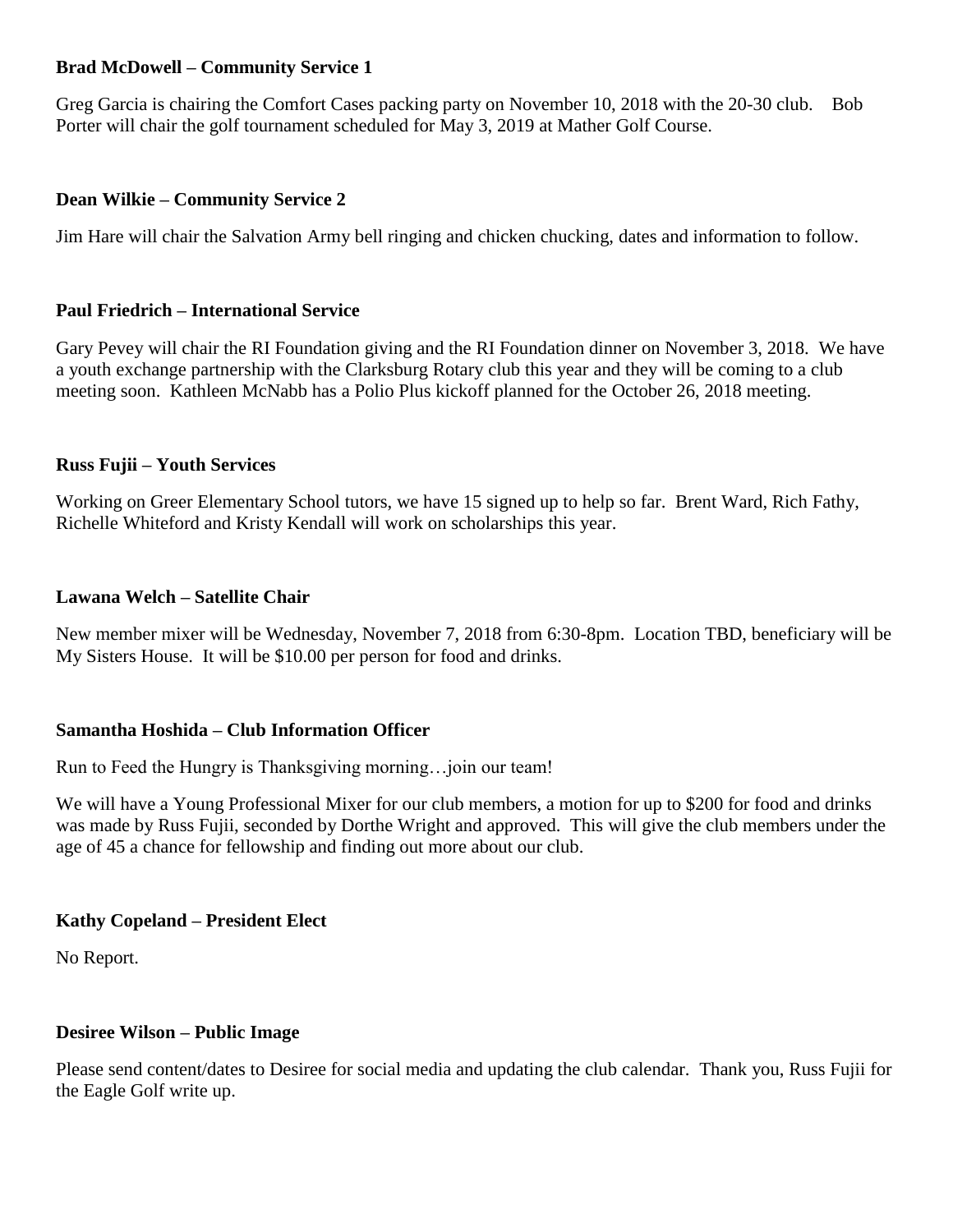# **Brad McDowell – Community Service 1**

Greg Garcia is chairing the Comfort Cases packing party on November 10, 2018 with the 20-30 club. Bob Porter will chair the golf tournament scheduled for May 3, 2019 at Mather Golf Course.

# **Dean Wilkie – Community Service 2**

Jim Hare will chair the Salvation Army bell ringing and chicken chucking, dates and information to follow.

# **Paul Friedrich – International Service**

Gary Pevey will chair the RI Foundation giving and the RI Foundation dinner on November 3, 2018. We have a youth exchange partnership with the Clarksburg Rotary club this year and they will be coming to a club meeting soon. Kathleen McNabb has a Polio Plus kickoff planned for the October 26, 2018 meeting.

# **Russ Fujii – Youth Services**

Working on Greer Elementary School tutors, we have 15 signed up to help so far. Brent Ward, Rich Fathy, Richelle Whiteford and Kristy Kendall will work on scholarships this year.

### **Lawana Welch – Satellite Chair**

New member mixer will be Wednesday, November 7, 2018 from 6:30-8pm. Location TBD, beneficiary will be My Sisters House. It will be \$10.00 per person for food and drinks.

### **Samantha Hoshida – Club Information Officer**

Run to Feed the Hungry is Thanksgiving morning…join our team!

We will have a Young Professional Mixer for our club members, a motion for up to \$200 for food and drinks was made by Russ Fujii, seconded by Dorthe Wright and approved. This will give the club members under the age of 45 a chance for fellowship and finding out more about our club.

### **Kathy Copeland – President Elect**

No Report.

### **Desiree Wilson – Public Image**

Please send content/dates to Desiree for social media and updating the club calendar. Thank you, Russ Fujii for the Eagle Golf write up.